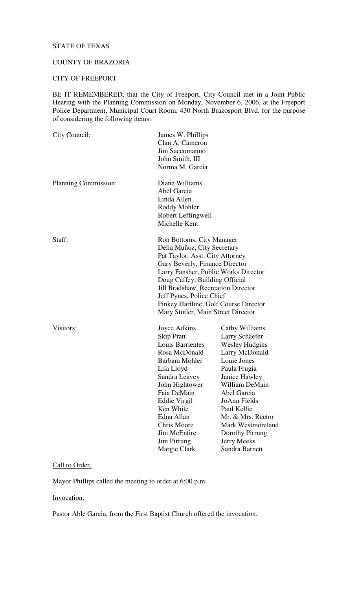### STATE OF TEXAS

### COUNTY OF BRAZORIA

#### CITY OF FREEPORT

BE IT REMEMBERED, that the City of Freeport, City Council met in a Joint Public Hearing with the Planning Commission on Monday, November 6, 2006, at the Freeport Police Department, Municipal Court Room, 430 North Brazosport Blvd. for the purpose of considering the following items:

| City Council:        | James W. Phillips<br>Clan A. Cameron<br>Jim Saccomanno<br>John Smith, III<br>Norma M. Garcia                                                                                                                                                                                                                                                             |                                                                                                                                                                                                                                                                                           |
|----------------------|----------------------------------------------------------------------------------------------------------------------------------------------------------------------------------------------------------------------------------------------------------------------------------------------------------------------------------------------------------|-------------------------------------------------------------------------------------------------------------------------------------------------------------------------------------------------------------------------------------------------------------------------------------------|
| Planning Commission: | Diane Williams<br>Abel Garcia<br>Linda Allen<br>Roddy Mohler<br>Robert Leffingwell<br>Michelle Kent                                                                                                                                                                                                                                                      |                                                                                                                                                                                                                                                                                           |
| Staff:               | Ron Bottoms, City Manager<br>Delia Muñoz, City Secretary<br>Pat Taylor, Asst. City Attorney<br>Gary Beverly, Finance Director<br>Larry Fansher, Public Works Director<br>Doug Caffey, Building Official<br>Jill Bradshaw, Recreation Director<br>Jeff Pynes, Police Chief<br>Pinkey Hartline, Golf Course Director<br>Mary Stotler, Main Street Director |                                                                                                                                                                                                                                                                                           |
| Visitors:            | Joyce Adkins<br><b>Skip Pratt</b><br>Louis Barrientes<br>Rosa McDonald<br>Barbara Mohler<br>Lila Lloyd<br>Sandra Leavey<br>John Hightower<br>Faia DeMain<br>Eddie Virgil<br>Ken White<br>Edna Allan<br><b>Chris Moore</b><br><b>Jim McEntire</b><br>Jim Pirrung<br>Margie Clark                                                                          | Cathy Williams<br>Larry Schaefer<br><b>Wesley Hudgins</b><br>Larry McDonald<br>Louie Jones<br>Paula Frugia<br>Janice Hawley<br>William DeMain<br>Abel Garcia<br>JoAnn Fields<br>Paul Kellie<br>Mr. & Mrs. Rector<br>Mark Westmoreland<br>Dorothy Pirrung<br>Jerry Meeks<br>Sandra Barnett |

# Call to Order.

Mayor Phillips called the meeting to order at 6:00 p.m.

### Invocation.

Pastor Able Garcia, from the First Baptist Church offered the invocation.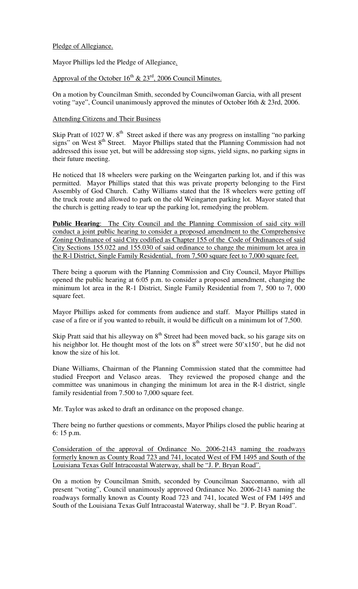### Pledge of Allegiance.

Mayor Phillips led the Pledge of Allegiance.

Approval of the October  $16^{th}$  &  $23^{rd}$ , 2006 Council Minutes.

On a motion by Councilman Smith, seconded by Councilwoman Garcia, with all present voting "aye", Council unanimously approved the minutes of October l6th & 23rd, 2006.

## Attending Citizens and Their Business

Skip Pratt of 1027 W.  $8<sup>th</sup>$  Street asked if there was any progress on installing "no parking signs" on West 8<sup>th</sup> Street. Mayor Phillips stated that the Planning Commission had not addressed this issue yet, but will be addressing stop signs, yield signs, no parking signs in their future meeting.

He noticed that 18 wheelers were parking on the Weingarten parking lot, and if this was permitted. Mayor Phillips stated that this was private property belonging to the First Assembly of God Church. Cathy Williams stated that the 18 wheelers were getting off the truck route and allowed to park on the old Weingarten parking lot. Mayor stated that the church is getting ready to tear up the parking lot, remedying the problem.

**Public Hearing**: The City Council and the Planning Commission of said city will conduct a joint public hearing to consider a proposed amendment to the Comprehensive Zoning Ordinance of said City codified as Chapter 155 of the Code of Ordinances of said City Sections 155.022 and 155.030 of said ordinance to change the minimum lot area in the R-l District, Single Family Residential, from 7,500 square feet to 7,000 square feet.

There being a quorum with the Planning Commission and City Council, Mayor Phillips opened the public hearing at 6:05 p.m. to consider a proposed amendment, changing the minimum lot area in the R-1 District, Single Family Residential from 7, 500 to 7, 000 square feet.

Mayor Phillips asked for comments from audience and staff. Mayor Phillips stated in case of a fire or if you wanted to rebuilt, it would be difficult on a minimum lot of 7,500.

Skip Pratt said that his alleyway on  $8<sup>th</sup>$  Street had been moved back, so his garage sits on his neighbor lot. He thought most of the lots on  $8<sup>th</sup>$  street were 50'x150', but he did not know the size of his lot.

Diane Williams, Chairman of the Planning Commission stated that the committee had studied Freeport and Velasco areas. They reviewed the proposed change and the committee was unanimous in changing the minimum lot area in the R-l district, single family residential from 7.500 to 7,000 square feet.

Mr. Taylor was asked to draft an ordinance on the proposed change.

There being no further questions or comments, Mayor Philips closed the public hearing at 6: 15 p.m.

Consideration of the approval of Ordinance No. 2006-2143 naming the roadways formerly known as County Road 723 and 741, located West of FM 1495 and South of the Louisiana Texas Gulf Intracoastal Waterway, shall be "J. P. Bryan Road".

On a motion by Councilman Smith, seconded by Councilman Saccomanno, with all present "voting", Council unanimously approved Ordinance No. 2006-2143 naming the roadways formally known as County Road 723 and 741, located West of FM 1495 and South of the Louisiana Texas Gulf Intracoastal Waterway, shall be "J. P. Bryan Road".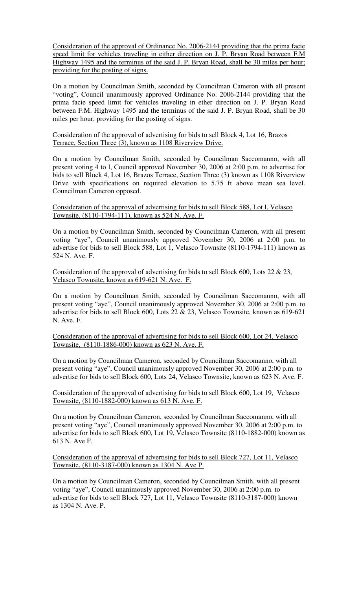Consideration of the approval of Ordinance No. 2006-2144 providing that the prima facie speed limit for vehicles traveling in either direction on J. P. Bryan Road between F.M Highway 1495 and the terminus of the said J. P. Bryan Road, shall be 30 miles per hour; providing for the posting of signs.

On a motion by Councilman Smith, seconded by Councilman Cameron with all present "voting", Council unanimously approved Ordinance No. 2006-2144 providing that the prima facie speed limit for vehicles traveling in ether direction on J. P. Bryan Road between F.M. Highway 1495 and the terminus of the said J. P. Bryan Road, shall be 30 miles per hour, providing for the posting of signs.

#### Consideration of the approval of advertising for bids to sell Block 4, Lot 16, Brazos Terrace, Section Three (3), known as 1108 Riverview Drive.

On a motion by Councilman Smith, seconded by Councilman Saccomanno, with all present voting 4 to l, Council approved November 30, 2006 at 2:00 p.m. to advertise for bids to sell Block 4, Lot 16, Brazos Terrace, Section Three (3) known as 1108 Riverview Drive with specifications on required elevation to 5.75 ft above mean sea level. Councilman Cameron opposed.

### Consideration of the approval of advertising for bids to sell Block 588, Lot l, Velasco Townsite, (8110-1794-111), known as 524 N. Ave. F.

On a motion by Councilman Smith, seconded by Councilman Cameron, with all present voting "aye", Council unanimously approved November 30, 2006 at 2:00 p.m. to advertise for bids to sell Block 588, Lot 1, Velasco Townsite (8110-1794-111) known as 524 N. Ave. F.

### Consideration of the approval of advertising for bids to sell Block 600, Lots 22 & 23, Velasco Townsite, known as 619-621 N. Ave. F.

On a motion by Councilman Smith, seconded by Councilman Saccomanno, with all present voting "aye", Council unanimously approved November 30, 2006 at 2:00 p.m. to advertise for bids to sell Block 600, Lots 22 & 23, Velasco Townsite, known as 619-621 N. Ave. F.

#### Consideration of the approval of advertising for bids to sell Block 600, Lot 24, Velasco Townsite, (8110-1886-000) known as 623 N. Ave. F.

On a motion by Councilman Cameron, seconded by Councilman Saccomanno, with all present voting "aye", Council unanimously approved November 30, 2006 at 2:00 p.m. to advertise for bids to sell Block 600, Lots 24, Velasco Townsite, known as 623 N. Ave. F.

## Consideration of the approval of advertising for bids to sell Block 600, Lot 19, Velasco Townsite, (8110-1882-000) known as 613 N. Ave. F.

On a motion by Councilman Cameron, seconded by Councilman Saccomanno, with all present voting "aye", Council unanimously approved November 30, 2006 at 2:00 p.m. to advertise for bids to sell Block 600, Lot 19, Velasco Townsite (8110-1882-000) known as 613 N. Ave F.

Consideration of the approval of advertising for bids to sell Block 727, Lot 11, Velasco Townsite, (8110-3187-000) known as 1304 N. Ave P.

On a motion by Councilman Cameron, seconded by Councilman Smith, with all present voting "aye", Council unanimously approved November 30, 2006 at 2:00 p.m. to advertise for bids to sell Block 727, Lot 11, Velasco Townsite (8110-3187-000) known as 1304 N. Ave. P.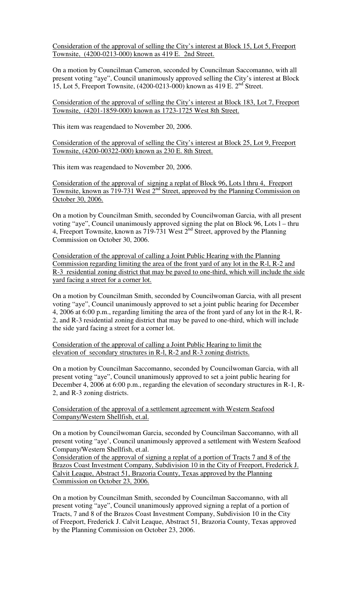Consideration of the approval of selling the City's interest at Block 15, Lot 5, Freeport Townsite, (4200-0213-000) known as 419 E. 2nd Street.

On a motion by Councilman Cameron, seconded by Councilman Saccomanno, with all present voting "aye", Council unanimously approved selling the City's interest at Block 15, Lot 5, Freeport Townsite, (4200-0213-000) known as 419 E. 2<sup>nd</sup> Street.

Consideration of the approval of selling the City's interest at Block 183, Lot 7, Freeport Townsite, (4201-1859-000) known as 1723-1725 West 8th Street.

This item was reagendaed to November 20, 2006.

Consideration of the approval of selling the City's interest at Block 25, Lot 9, Freeport Townsite, (4200-00322-000) known as 230 E. 8th Street.

This item was reagendaed to November 20, 2006.

Consideration of the approval of signing a replat of Block 96, Lots l thru 4, Freeport Townsite, known as 719-731 West 2<sup>nd</sup> Street, approved by the Planning Commission on October 30, 2006.

On a motion by Councilman Smith, seconded by Councilwoman Garcia, with all present voting "aye", Council unanimously approved signing the plat on Block 96, Lots l – thru 4, Freeport Townsite, known as 719-731 West  $2^{nd}$  Street, approved by the Planning Commission on October 30, 2006.

Consideration of the approval of calling a Joint Public Hearing with the Planning Commission regarding limiting the area of the front yard of any lot in the R-l, R-2 and R-3 residential zoning district that may be paved to one-third, which will include the side yard facing a street for a corner lot.

On a motion by Councilman Smith, seconded by Councilwoman Garcia, with all present voting "aye", Council unanimously approved to set a joint public hearing for December 4, 2006 at 6:00 p.m., regarding limiting the area of the front yard of any lot in the R-l, R-2, and R-3 residential zoning district that may be paved to one-third, which will include the side yard facing a street for a corner lot.

Consideration of the approval of calling a Joint Public Hearing to limit the elevation of secondary structures in R-l, R-2 and R-3 zoning districts.

On a motion by Councilman Saccomanno, seconded by Councilwoman Garcia, with all present voting "aye", Council unanimously approved to set a joint public hearing for December 4, 2006 at 6:00 p.m., regarding the elevation of secondary structures in R-1, R-2, and R-3 zoning districts.

Consideration of the approval of a settlement agreement with Western Seafood Company/Western Shellfish, et.al.

On a motion by Councilwoman Garcia, seconded by Councilman Saccomanno, with all present voting "aye', Council unanimously approved a settlement with Western Seafood Company/Western Shellfish, et.al.

Consideration of the approval of signing a replat of a portion of Tracts 7 and 8 of the Brazos Coast Investment Company, Subdivision 10 in the City of Freeport, Frederick J. Calvit Leaque, Abstract 51, Brazoria County, Texas approved by the Planning Commission on October 23, 2006.

On a motion by Councilman Smith, seconded by Councilman Saccomanno, with all present voting "aye", Council unanimously approved signing a replat of a portion of Tracts, 7 and 8 of the Brazos Coast Investment Company, Subdivision 10 in the City of Freeport, Frederick J. Calvit Leaque, Abstract 51, Brazoria County, Texas approved by the Planning Commission on October 23, 2006.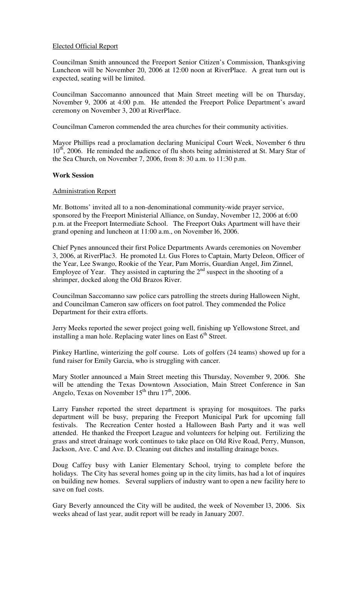### Elected Official Report

Councilman Smith announced the Freeport Senior Citizen's Commission, Thanksgiving Luncheon will be November 20, 2006 at 12:00 noon at RiverPlace. A great turn out is expected, seating will be limited.

Councilman Saccomanno announced that Main Street meeting will be on Thursday, November 9, 2006 at 4:00 p.m. He attended the Freeport Police Department's award ceremony on November 3, 200 at RiverPlace.

Councilman Cameron commended the area churches for their community activities.

Mayor Phillips read a proclamation declaring Municipal Court Week, November 6 thru 10<sup>th</sup>, 2006. He reminded the audience of flu shots being administered at St. Mary Star of the Sea Church, on November 7, 2006, from 8: 30 a.m. to 11:30 p.m.

#### **Work Session**

#### Administration Report

Mr. Bottoms' invited all to a non-denominational community-wide prayer service, sponsored by the Freeport Ministerial Alliance, on Sunday, November 12, 2006 at 6:00 p.m. at the Freeport Intermediate School. The Freeport Oaks Apartment will have their grand opening and luncheon at 11:00 a.m., on November l6, 2006.

Chief Pynes announced their first Police Departments Awards ceremonies on November 3, 2006, at RiverPlac3. He promoted Lt. Gus Flores to Captain, Marty Deleon, Officer of the Year, Lee Swango, Rookie of the Year, Pam Morris, Guardian Angel, Jim Zinnel, Employee of Year. They assisted in capturing the  $2<sup>nd</sup>$  suspect in the shooting of a shrimper, docked along the Old Brazos River.

Councilman Saccomanno saw police cars patrolling the streets during Halloween Night, and Councilman Cameron saw officers on foot patrol. They commended the Police Department for their extra efforts.

Jerry Meeks reported the sewer project going well, finishing up Yellowstone Street, and installing a man hole. Replacing water lines on East 6<sup>th</sup> Street.

Pinkey Hartline, winterizing the golf course. Lots of golfers (24 teams) showed up for a fund raiser for Emily Garcia, who is struggling with cancer.

Mary Stotler announced a Main Street meeting this Thursday, November 9, 2006. She will be attending the Texas Downtown Association, Main Street Conference in San Angelo, Texas on November  $15<sup>th</sup>$  thru  $17<sup>th</sup>$ , 2006.

Larry Fansher reported the street department is spraying for mosquitoes. The parks department will be busy, preparing the Freeport Municipal Park for upcoming fall festivals. The Recreation Center hosted a Halloween Bash Party and it was well attended. He thanked the Freeport League and volunteers for helping out. Fertilizing the grass and street drainage work continues to take place on Old Rive Road, Perry, Munson, Jackson, Ave. C and Ave. D. Cleaning out ditches and installing drainage boxes.

Doug Caffey busy with Lanier Elementary School, trying to complete before the holidays. The City has several homes going up in the city limits, has had a lot of inquires on building new homes. Several suppliers of industry want to open a new facility here to save on fuel costs.

Gary Beverly announced the City will be audited, the week of November l3, 2006. Six weeks ahead of last year, audit report will be ready in January 2007.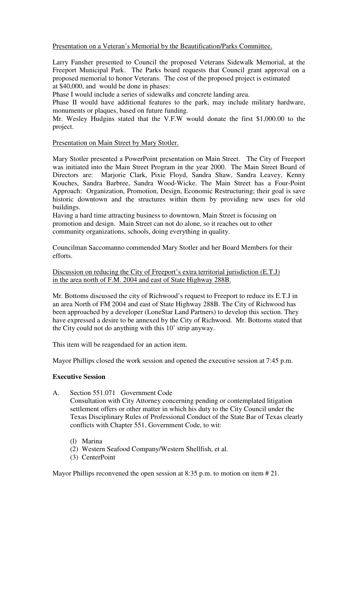Presentation on a Veteran's Memorial by the Beautification/Parks Committee.

Larry Fansher presented to Council the proposed Veterans Sidewalk Memorial, at the Freeport Municipal Park. The Parks board requests that Council grant approval on a proposed memorial to honor Veterans. The cost of the proposed project is estimated at \$40,000, and would be done in phases:

Phase I would include a series of sidewalks and concrete landing area.

Phase II would have additional features to the park, may include military hardware, monuments or plaques, based on future funding.

Mr. Wesley Hudgins stated that the V.F.W would donate the first \$1,000.00 to the project.

Presentation on Main Street by Mary Stotler.

Mary Stotler presented a PowerPoint presentation on Main Street. The City of Freeport was initiated into the Main Street Program in the year 2000. The Main Street Board of Directors are: Marjorie Clark, Pixie Floyd, Sandra Shaw, Sandra Leavey, Kenny Kouches, Sandra Barbree, Sandra Wood-Wicke. The Main Street has a Four-Point Approach: Organization, Promotion, Design, Economic Restructuring; their goal is save historic downtown and the structures within them by providing new uses for old buildings.

Having a hard time attracting business to downtown, Main Street is focusing on promotion and design. Main Street can not do alone, so it reaches out to other community organizations, schools, doing everything in quality.

Councilman Saccomanno commended Mary Stotler and her Board Members for their efforts.

Discussion on reducing the City of Freeport's extra territorial jurisdiction (E.T.J) in the area north of F.M. 2004 and east of State Highway 288B.

Mr. Bottoms discussed the city of Richwood's request to Freeport to reduce its E.T.J in an area North of FM 2004 and east of State Highway 288B. The City of Richwood has been approached by a developer (LoneStar Land Partners) to develop this section. They have expressed a desire to be annexed by the City of Richwood. Mr. Bottoms stated that the City could not do anything with this 10' strip anyway.

This item will be reagendaed for an action item.

Mayor Phillips closed the work session and opened the executive session at 7:45 p.m.

#### **Executive Session**

- A. Section 551.071 Government Code Consultation with City Attorney concerning pending or contemplated litigation settlement offers or other matter in which his duty to the City Council under the Texas Disciplinary Rules of Professional Conduct of the State Bar of Texas clearly conflicts with Chapter 551, Government Code, to wit:
	- (l) Marina
	- (2) Western Seafood Company/Western Shellfish, et al.
	- (3) CenterPoint

Mayor Phillips reconvened the open session at 8:35 p.m. to motion on item # 21.